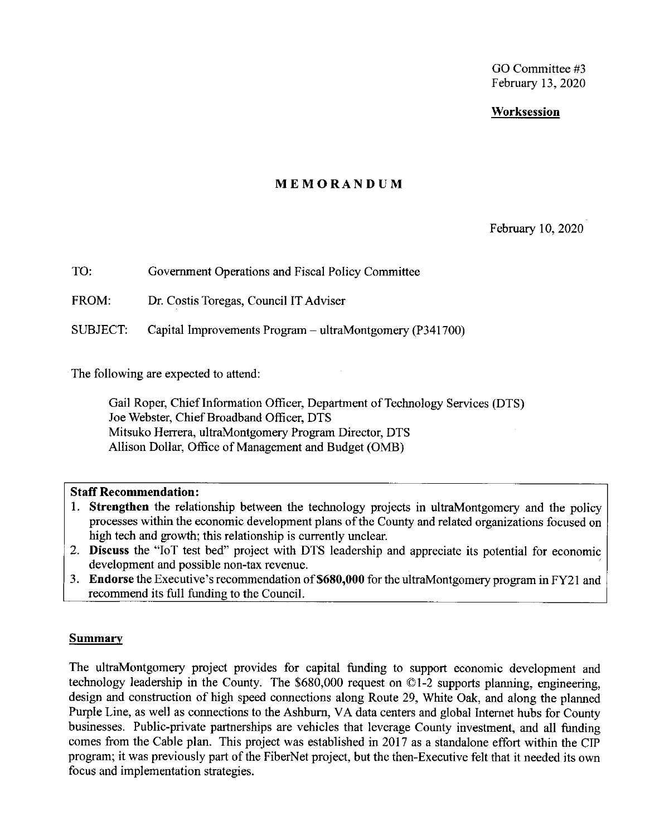GO Committee #3 February 13, 2020

### **Worksession**

### **MEMORANDUM**

February 10, 2020

TO: Government Operations and Fiscal Policy Committee

FROM: Dr. Costis Toregas, Council IT Adviser

SUBJECT: Capital Improvements Program - ultraMontgomery (P341700)

The following are expected to attend:

Gail Roper, Chieflnformation Officer, Department of Technology Services (DTS) Joe Webster, Chief Broadband Officer, DTS Mitsuko Herrera, ultraMontgomery Program Director, DTS Allison Dollar, Office of Management and Budget (0MB)

### **Staff Recommendation:**

- I. **Strengthen** the relationship between the technology projects in ultraMontgomery and the policy processes within the economic development plans of the County and related organizations focused on high tech and growth; this relationship is currently unclear.
- 2. **Discuss** the "loT test bed" project with DTS leadership and appreciate its potential for economic development and possible non-tax revenue.
- 3. **Endorse** the Executive's recommendation **of\$680,000** for the ultraMontgomery program in FY21 and recommend its full funding to the Council.

### **Summary**

The ultraMontgomery project provides for capital funding to support economic development and technology leadership in the County. The \$680,000 request on ©1-2 supports planning, engineering, design and construction of high speed connections along Route 29, White Oak, and along the planned Purple Line, as well as connections to the Ashburn, VA data centers and global Internet hubs for County businesses. Public-private partnerships are vehicles that leverage County investment, and all funding comes from the Cable plan. This project was established in 2017 as a standalone effort within the CIP program; it was previously part of the FiberNet project, but the then-Executive felt that it needed its own focus and implementation strategies.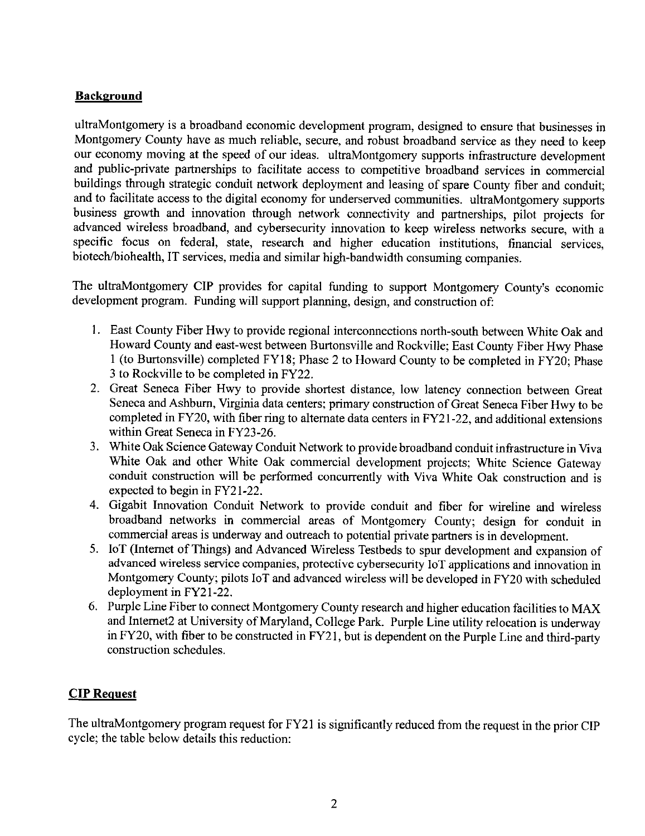## **Background**

ultraMontgomery is a broadband economic development program, designed to ensure that businesses in Montgomery County have as much reliable, secure, and robust broadband service as they need to keep our economy moving at the speed of our ideas. ultraMontgomery supports infrastructure development and public-private partnerships to facilitate access to competitive broadband services in commercial buildings through strategic conduit network deployment and leasing of spare County fiber and conduit; and to facilitate access to the digital economy for underserved communities. ultraMontgomery supports business growth and innovation through network connectivity and partnerships, pilot projects for advanced wireless broadband, and cybersecurity innovation to keep wireless networks secure, with a specific focus on federal, state, research and higher education institutions, financial services, biotech/biohealth, IT services, media and similar high-bandwidth consuming companies.

The ultraMontgomery CIP provides for capital funding to support Montgomery County's economic development program. Funding will support planning, design, and construction of:

- 1. East County Fiber Hwy to provide regional interconnections north-south between White Oak and Howard County and east-west between Burtonsville and Rockville; East County Fiber Hwy Phase I (to Burtonsville) completed FY18; Phase 2 to Howard County to be completed in FY20; Phase 3 to Rockville to be completed in FY22.
- 2. Great Seneca Fiber Hwy to provide shortest distance, low latency connection between Great Seneca and Ashburn, Virginia data centers; primary construction of Great Seneca Fiber Hwy to be completed in FY20, with fiber ring to alternate data centers in FY2 l-22, and additional extensions within Great Seneca in FY23-26.
- 3. White Oak Science Gateway Conduit Network to provide broadband conduit infrastructure in Viva White Oak and other White Oak commercial development projects; White Science Gateway conduit construction will be performed concurrently with Viva White Oak construction and is expected to begin in FY21-22.
- 4. Gigabit Innovation Conduit Network to provide conduit and fiber for wireline and wireless broadband networks in commercial areas of Montgomery County; design for conduit in commercial areas is underway and outreach to potential private partners is in development.
- 5. IoT (Internet of Things) and Advanced Wireless Testbeds to spur development and expansion of advanced wireless service companies, protective cybersecurity IoT applications and innovation in Montgomery County; pilots IoT and advanced wireless will be developed in FY20 with scheduled deployment in FY21-22.
- 6. Purple Line Fiber to connect Montgomery County research and higher education facilities to MAX and Internet2 at University of Maryland, College Park. Purple Line utility relocation is underway in FY20, with fiber to be constructed in FY2 l, but is dependent on the Purple Line and third-party construction schedules.

# **CIP** Request

The ultraMontgomery program request for FY21 is significantly reduced from the request in the prior CIP cycle; the table below details this reduction: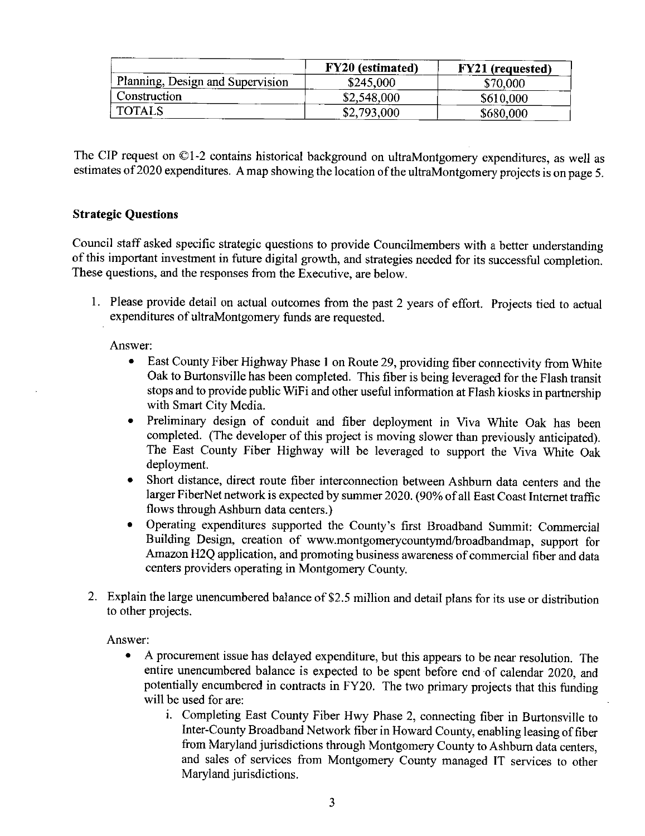|                                  | <b>FY20</b> (estimated) | <b>FY21</b> (requested) |
|----------------------------------|-------------------------|-------------------------|
| Planning, Design and Supervision | \$245,000               | \$70,000                |
| Construction                     | \$2,548,000             | \$610,000               |
| <b>TOTALS</b>                    | \$2,793,000             | \$680,000               |

The CIP request on ©1-2 contains historical background on ultraMontgomery expenditures, as well as estimates of 2020 expenditures. A map showing the location of the ultraMontgomery projects is on page 5.

### **Strategic Questions**

Council staff asked specific strategic questions to provide Councilmembers with a better understanding of this important investment in future digital growth, and strategies needed for its successful completion. These questions, and the responses from the Executive, are below.

I. Please provide detail on actual outcomes from the past 2 years of effort. Projects tied to actual expenditures of ultraMontgomery funds are requested.

### Answer:

- $\bullet$ East County Fiber Highway Phase I on Route 29, providing fiber connectivity from White Oak to Burtonsville has been completed. This fiber is being leveraged for the Flash transit stops and to provide public WiFi and other useful information at Flash kiosks in partnership with Smart City Media.
- $\bullet$ Preliminary design of conduit and fiber deployment in Viva White Oak has been completed. (The developer of this project is moving slower than previously anticipated). The East County Fiber Highway will be leveraged to support the Viva White Oak deployment.
- Short distance, direct route fiber interconnection between Ashburn data centers and the larger FiberNet network is expected by summer 2020. (90% of all East Coast Internet traffic flows through Ashburn data centers.)
- Operating expenditures supported the County's first Broadband Summit: Commercial Building Design, creation of www.montgomerycountymd/broadbandmap, support for Amazon H2Q application, and promoting business awareness of commercial fiber and data centers providers operating in Montgomery County.
- 2. Explain the large unencumbered balance of \$2.5 million and detail plans for its use or distribution to other projects.

Answer:

- A procurement issue has delayed expenditure, but this appears to be near resolution. The entire unencumbered balance is expected to be spent before end of calendar 2020, and potentially encumbered in contracts in FY20. The two primary projects that this funding will be used for are:
	- 1. Completing East County Fiber Hwy Phase 2, connecting fiber in Burtonsville to Inter-County Broadband Network fiber in Howard County, enabling leasing of fiber from Maryland jurisdictions through Montgomery County to Ashburn data centers, and sales of services from Montgomery County managed IT services to other Maryland jurisdictions.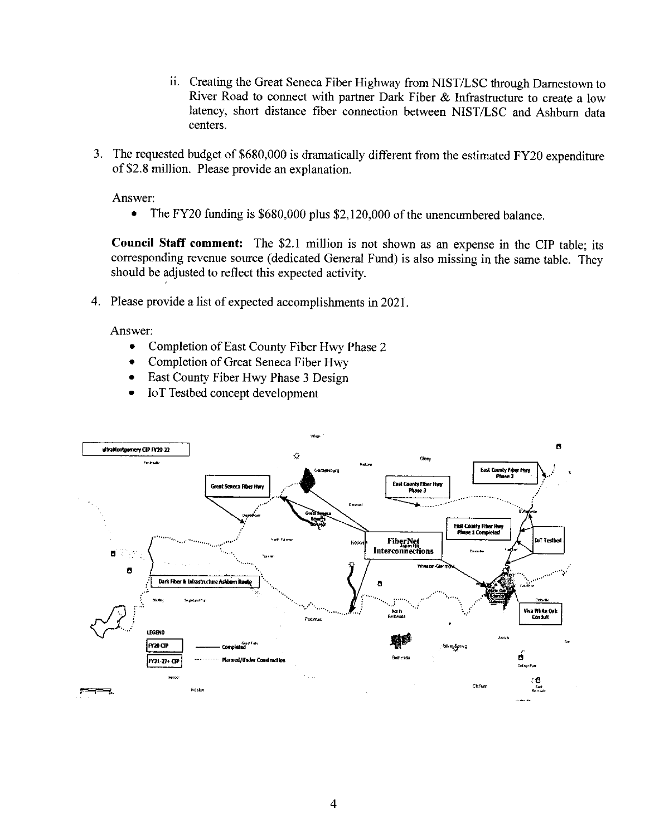- ii. Creating the Great Seneca Fiber Highway from NIST/LSC through Darnestown to River Road to connect with partner Dark Fiber & Infrastructure to create a low latency, short distance fiber connection between NIST/LSC and Ashburn data centers.
- 3. The requested budget of \$680,000 is dramatically different from the estimated FY20 expenditure of \$2.8 million. Please provide an explanation.

Answer:

The FY20 funding is \$680,000 plus \$2,120,000 of the unencumbered balance.  $\bullet$ 

Council Staff comment: The \$2.1 million is not shown as an expense in the CIP table; its corresponding revenue source (dedicated General Fund) is also missing in the same table. They should be adjusted to reflect this expected activity.

4. Please provide a list of expected accomplishments in 2021.

Answer:

- $\bullet$ Completion of East County Fiber Hwy Phase 2
- Completion of Great Seneca Fiber Hwy  $\bullet$
- East County Fiber Hwy Phase 3 Design  $\bullet$
- IoT Testbed concept development  $\bullet$

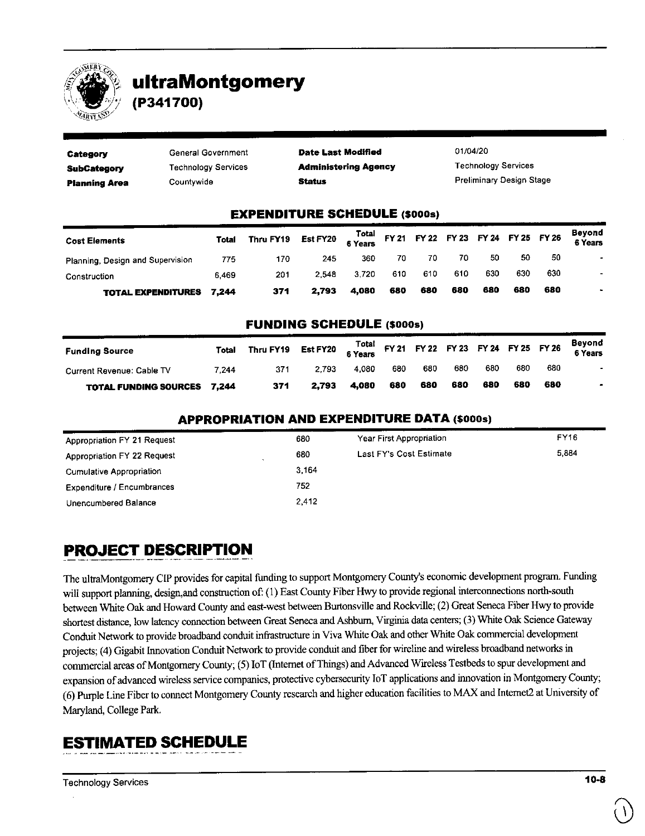

# **ultraMontgomery**

**(P341700)** 

| Category             | General Government         | <b>Date Last Modified</b>   | 01/04/20                        |
|----------------------|----------------------------|-----------------------------|---------------------------------|
| SubCategory          | <b>Technology Services</b> | <b>Administering Agency</b> | <b>Technology Services</b>      |
| <b>Planning Area</b> | Countvwide                 | <b>Status</b>               | <b>Preliminary Design Stage</b> |

### **EXPENDITURE SCHEDULE** (\$000s)

| <b>Cost Elements</b>             | <b>Total</b> | Thru FY19 Est FY20 $\frac{Total}{6 \text{ Years}}$ FY 21 FY 22 FY 23 FY 24 FY 25 FY 26 |       |       |     |     |     |     |     |     | Beyond<br>6 Years |
|----------------------------------|--------------|----------------------------------------------------------------------------------------|-------|-------|-----|-----|-----|-----|-----|-----|-------------------|
| Planning, Design and Supervision | 775          | 170                                                                                    | 245   | 360   | 70  | 70  | 70  | -50 | -50 | 50  | ٠                 |
| Construction                     | 6469         | 201                                                                                    | 2.548 | 3.720 | 610 | 610 | 610 | 630 | 630 | 630 |                   |
| <b>TOTAL EXPENDITURES 7,244</b>  |              | 371                                                                                    | 2.793 | 4.080 | 680 | 680 | 680 | 680 | 680 | 680 |                   |

#### **FUNDING SCHEDULE** (\$000s)

| <b>Funding Source</b>              | Total | Thru FY19 Est FY20 $\begin{array}{cc} \text{Total} \\ 6 \text{ Years} \end{array}$ FY 21 FY 22 FY 23 FY 24 FY 25 FY 26 |       |       |     |     |     |     |     |     | Beyond<br>6 Years |
|------------------------------------|-------|------------------------------------------------------------------------------------------------------------------------|-------|-------|-----|-----|-----|-----|-----|-----|-------------------|
| Current Revenue: Cable TV          | 7.244 | 371                                                                                                                    | 2.793 | 4.080 | 680 | 680 | 680 | 680 | 680 | 680 |                   |
| <b>TOTAL FUNDING SOURCES 7,244</b> |       | 371                                                                                                                    | 2.793 | 4.080 | 680 | 680 | 680 | 680 | 680 | 680 |                   |

#### **APPROPRIATION AND EXPENDITURE DATA** (\$000s)

| Appropriation FY 21 Request                         | 680   | Year First Appropriation | FY16  |
|-----------------------------------------------------|-------|--------------------------|-------|
| Appropriation FY 22 Request<br>$\ddot{\phantom{1}}$ | 680   | Last FY's Cost Estimate  | 5.884 |
| <b>Cumulative Appropriation</b>                     | 3.164 |                          |       |
| <b>Expenditure / Encumbrances</b>                   | 752   |                          |       |
| Unencumbered Balance                                | 2.412 |                          |       |

# **PROJECT DESCRIPTION**

The ultraMontgomery CIP provides for capital funding to support Montgomery County's economic development program, Funding will support planning, design,and construction of: (1) East County Fiber Hwy to provide regional interconnections north-south between White Oak and Howard County and east-west between Burtonsville and Rockville; (2) Great Seneca Fiber Hwy to provide shortest distance, low latency connection between Great Seneca and Ashburn, Virginia data centers; (3) White Oak Science Gateway Conduit Network to provide broadband conduit infrastructure in Viva White Oak and other White Oak commercial development projects; (4) Gigabit Innovation Conduit Network to provide conduit and fiber for wireline and wireless broadband networks in commercial areas of Montgomery County; (5) IoT (Internet of Things) and Advanced Wireless Testbeds to spur development and expansion of advanced wireless service companies, protective cybersecurity IoT applications and innovation in Montgomery County; (6) Purple Line Fiber to connect Montgomery County research and higher education facilities to MAX and Internet2 at University of Maryland, College Park

# **ESTIMATED SCHEDULE**